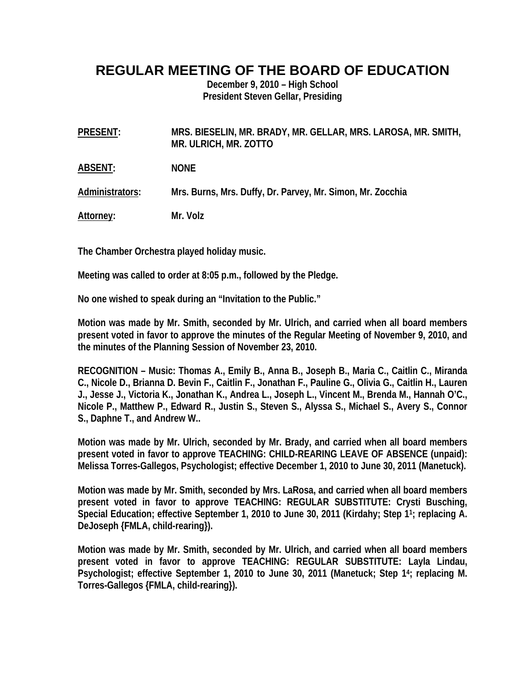## **REGULAR MEETING OF THE BOARD OF EDUCATION**

**December 9, 2010 – High School President Steven Gellar, Presiding** 

**PRESENT: MRS. BIESELIN, MR. BRADY, MR. GELLAR, MRS. LAROSA, MR. SMITH, MR. ULRICH, MR. ZOTTO** 

**ABSENT: NONE** 

**Administrators: Mrs. Burns, Mrs. Duffy, Dr. Parvey, Mr. Simon, Mr. Zocchia** 

**Attorney: Mr. Volz** 

**The Chamber Orchestra played holiday music.** 

**Meeting was called to order at 8:05 p.m., followed by the Pledge.** 

**No one wished to speak during an "Invitation to the Public."** 

**Motion was made by Mr. Smith, seconded by Mr. Ulrich, and carried when all board members present voted in favor to approve the minutes of the Regular Meeting of November 9, 2010, and the minutes of the Planning Session of November 23, 2010.** 

**RECOGNITION – Music: Thomas A., Emily B., Anna B., Joseph B., Maria C., Caitlin C., Miranda C., Nicole D., Brianna D. Bevin F., Caitlin F., Jonathan F., Pauline G., Olivia G., Caitlin H., Lauren J., Jesse J., Victoria K., Jonathan K., Andrea L., Joseph L., Vincent M., Brenda M., Hannah O'C., Nicole P., Matthew P., Edward R., Justin S., Steven S., Alyssa S., Michael S., Avery S., Connor S., Daphne T., and Andrew W..** 

**Motion was made by Mr. Ulrich, seconded by Mr. Brady, and carried when all board members present voted in favor to approve TEACHING: CHILD-REARING LEAVE OF ABSENCE (unpaid): Melissa Torres-Gallegos, Psychologist; effective December 1, 2010 to June 30, 2011 (Manetuck).** 

**Motion was made by Mr. Smith, seconded by Mrs. LaRosa, and carried when all board members present voted in favor to approve TEACHING: REGULAR SUBSTITUTE: Crysti Busching, Special Education; effective September 1, 2010 to June 30, 2011 (Kirdahy; Step 11; replacing A. DeJoseph {FMLA, child-rearing}).** 

**Motion was made by Mr. Smith, seconded by Mr. Ulrich, and carried when all board members present voted in favor to approve TEACHING: REGULAR SUBSTITUTE: Layla Lindau, Psychologist; effective September 1, 2010 to June 30, 2011 (Manetuck; Step 14; replacing M. Torres-Gallegos {FMLA, child-rearing}).**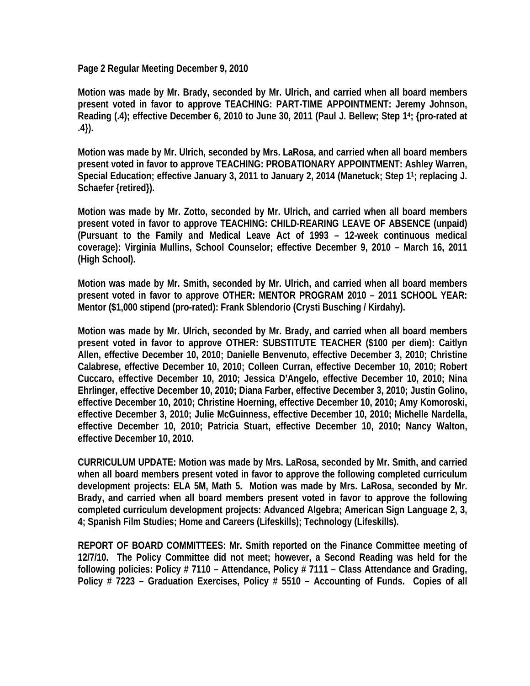**Page 2 Regular Meeting December 9, 2010** 

**Motion was made by Mr. Brady, seconded by Mr. Ulrich, and carried when all board members present voted in favor to approve TEACHING: PART-TIME APPOINTMENT: Jeremy Johnson, Reading (.4); effective December 6, 2010 to June 30, 2011 (Paul J. Bellew; Step 14; {pro-rated at .4}).** 

**Motion was made by Mr. Ulrich, seconded by Mrs. LaRosa, and carried when all board members present voted in favor to approve TEACHING: PROBATIONARY APPOINTMENT: Ashley Warren, Special Education; effective January 3, 2011 to January 2, 2014 (Manetuck; Step 11; replacing J. Schaefer {retired}).** 

**Motion was made by Mr. Zotto, seconded by Mr. Ulrich, and carried when all board members present voted in favor to approve TEACHING: CHILD-REARING LEAVE OF ABSENCE (unpaid) (Pursuant to the Family and Medical Leave Act of 1993 – 12-week continuous medical coverage): Virginia Mullins, School Counselor; effective December 9, 2010 – March 16, 2011 (High School).** 

**Motion was made by Mr. Smith, seconded by Mr. Ulrich, and carried when all board members present voted in favor to approve OTHER: MENTOR PROGRAM 2010 – 2011 SCHOOL YEAR: Mentor (\$1,000 stipend (pro-rated): Frank Sblendorio (Crysti Busching / Kirdahy).** 

**Motion was made by Mr. Ulrich, seconded by Mr. Brady, and carried when all board members present voted in favor to approve OTHER: SUBSTITUTE TEACHER (\$100 per diem): Caitlyn Allen, effective December 10, 2010; Danielle Benvenuto, effective December 3, 2010; Christine Calabrese, effective December 10, 2010; Colleen Curran, effective December 10, 2010; Robert Cuccaro, effective December 10, 2010; Jessica D'Angelo, effective December 10, 2010; Nina Ehrlinger, effective December 10, 2010; Diana Farber, effective December 3, 2010; Justin Golino, effective December 10, 2010; Christine Hoerning, effective December 10, 2010; Amy Komoroski, effective December 3, 2010; Julie McGuinness, effective December 10, 2010; Michelle Nardella, effective December 10, 2010; Patricia Stuart, effective December 10, 2010; Nancy Walton, effective December 10, 2010.** 

**CURRICULUM UPDATE: Motion was made by Mrs. LaRosa, seconded by Mr. Smith, and carried when all board members present voted in favor to approve the following completed curriculum development projects: ELA 5M, Math 5. Motion was made by Mrs. LaRosa, seconded by Mr. Brady, and carried when all board members present voted in favor to approve the following completed curriculum development projects: Advanced Algebra; American Sign Language 2, 3, 4; Spanish Film Studies; Home and Careers (Lifeskills); Technology (Lifeskills).** 

**REPORT OF BOARD COMMITTEES: Mr. Smith reported on the Finance Committee meeting of 12/7/10. The Policy Committee did not meet; however, a Second Reading was held for the following policies: Policy # 7110 – Attendance, Policy # 7111 – Class Attendance and Grading, Policy # 7223 – Graduation Exercises, Policy # 5510 – Accounting of Funds. Copies of all**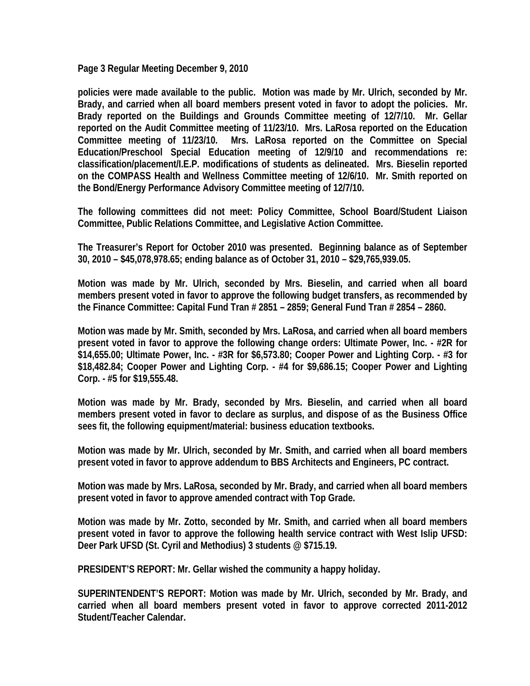**Page 3 Regular Meeting December 9, 2010** 

**policies were made available to the public. Motion was made by Mr. Ulrich, seconded by Mr. Brady, and carried when all board members present voted in favor to adopt the policies. Mr. Brady reported on the Buildings and Grounds Committee meeting of 12/7/10. Mr. Gellar reported on the Audit Committee meeting of 11/23/10. Mrs. LaRosa reported on the Education Committee meeting of 11/23/10. Mrs. LaRosa reported on the Committee on Special Education/Preschool Special Education meeting of 12/9/10 and recommendations re: classification/placement/I.E.P. modifications of students as delineated. Mrs. Bieselin reported on the COMPASS Health and Wellness Committee meeting of 12/6/10. Mr. Smith reported on the Bond/Energy Performance Advisory Committee meeting of 12/7/10.** 

**The following committees did not meet: Policy Committee, School Board/Student Liaison Committee, Public Relations Committee, and Legislative Action Committee.** 

**The Treasurer's Report for October 2010 was presented. Beginning balance as of September 30, 2010 – \$45,078,978.65; ending balance as of October 31, 2010 – \$29,765,939.05.** 

**Motion was made by Mr. Ulrich, seconded by Mrs. Bieselin, and carried when all board members present voted in favor to approve the following budget transfers, as recommended by the Finance Committee: Capital Fund Tran # 2851 – 2859; General Fund Tran # 2854 – 2860.** 

**Motion was made by Mr. Smith, seconded by Mrs. LaRosa, and carried when all board members present voted in favor to approve the following change orders: Ultimate Power, Inc. - #2R for \$14,655.00; Ultimate Power, Inc. - #3R for \$6,573.80; Cooper Power and Lighting Corp. - #3 for \$18,482.84; Cooper Power and Lighting Corp. - #4 for \$9,686.15; Cooper Power and Lighting Corp. - #5 for \$19,555.48.** 

**Motion was made by Mr. Brady, seconded by Mrs. Bieselin, and carried when all board members present voted in favor to declare as surplus, and dispose of as the Business Office sees fit, the following equipment/material: business education textbooks.** 

**Motion was made by Mr. Ulrich, seconded by Mr. Smith, and carried when all board members present voted in favor to approve addendum to BBS Architects and Engineers, PC contract.** 

**Motion was made by Mrs. LaRosa, seconded by Mr. Brady, and carried when all board members present voted in favor to approve amended contract with Top Grade.** 

**Motion was made by Mr. Zotto, seconded by Mr. Smith, and carried when all board members present voted in favor to approve the following health service contract with West Islip UFSD: Deer Park UFSD (St. Cyril and Methodius) 3 students @ \$715.19.** 

**PRESIDENT'S REPORT: Mr. Gellar wished the community a happy holiday.** 

**SUPERINTENDENT'S REPORT: Motion was made by Mr. Ulrich, seconded by Mr. Brady, and carried when all board members present voted in favor to approve corrected 2011-2012 Student/Teacher Calendar.**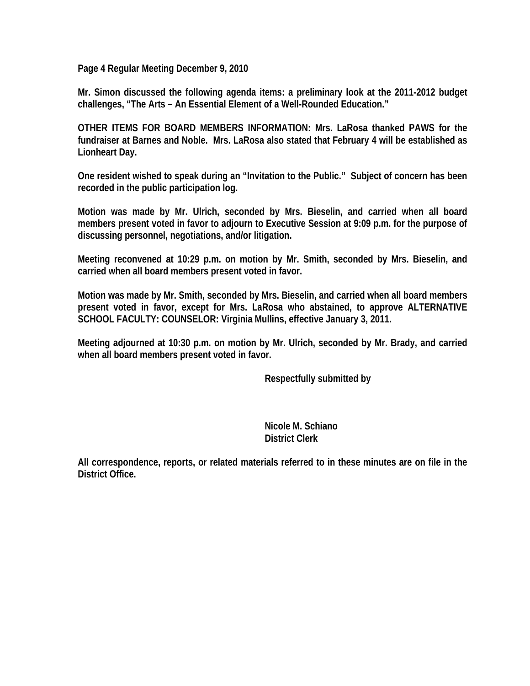**Page 4 Regular Meeting December 9, 2010** 

**Mr. Simon discussed the following agenda items: a preliminary look at the 2011-2012 budget challenges, "The Arts – An Essential Element of a Well-Rounded Education."** 

**OTHER ITEMS FOR BOARD MEMBERS INFORMATION: Mrs. LaRosa thanked PAWS for the fundraiser at Barnes and Noble. Mrs. LaRosa also stated that February 4 will be established as Lionheart Day.** 

**One resident wished to speak during an "Invitation to the Public." Subject of concern has been recorded in the public participation log.** 

**Motion was made by Mr. Ulrich, seconded by Mrs. Bieselin, and carried when all board members present voted in favor to adjourn to Executive Session at 9:09 p.m. for the purpose of discussing personnel, negotiations, and/or litigation.** 

**Meeting reconvened at 10:29 p.m. on motion by Mr. Smith, seconded by Mrs. Bieselin, and carried when all board members present voted in favor.** 

**Motion was made by Mr. Smith, seconded by Mrs. Bieselin, and carried when all board members present voted in favor, except for Mrs. LaRosa who abstained, to approve ALTERNATIVE SCHOOL FACULTY: COUNSELOR: Virginia Mullins, effective January 3, 2011.** 

**Meeting adjourned at 10:30 p.m. on motion by Mr. Ulrich, seconded by Mr. Brady, and carried when all board members present voted in favor.** 

 **Respectfully submitted by** 

 **Nicole M. Schiano District Clerk** 

**All correspondence, reports, or related materials referred to in these minutes are on file in the District Office.**